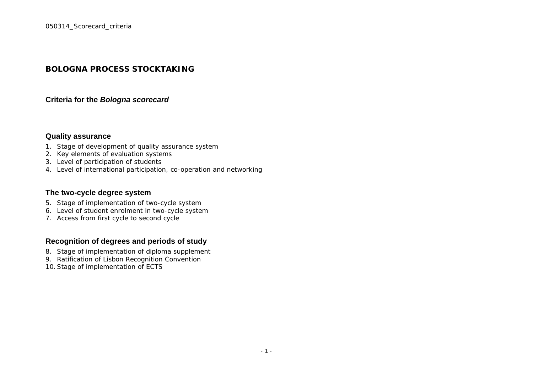# **BOLOGNA PROCESS STOCKTAKING**

#### **Criteria for the** *Bologna scorecard*

## **Quality assurance**

- 1. Stage of development of quality assurance system
- 2. Key elements of evaluation systems
- 3. Level of participation of students
- 4. Level of international participation, co-operation and networking

#### **The two-cycle degree system**

- 5. Stage of implementation of two-cycle system
- 6. Level of student enrolment in two-cycle system
- 7. Access from first cycle to second cycle

## **Recognition of degrees and periods of study**

- 8. Stage of implementation of diploma supplement
- 9. Ratification of Lisbon Recognition Convention
- 10.Stage of implementation of ECTS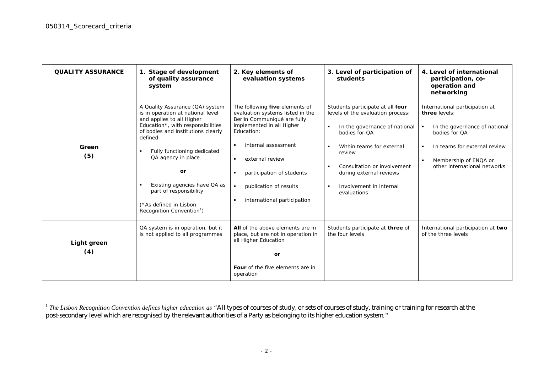| <b>QUALITY ASSURANCE</b> | 1. Stage of development<br>of quality assurance<br>system                                                                                                                                                                                                                                                                                                                                         | 2. Key elements of<br>evaluation systems                                                                                                                                                                                                                                                                                                             | 3. Level of participation of<br>students                                                                                                                                                                                                                                                                                 | 4. Level of international<br>participation, co-<br>operation and<br>networking                                                                                                                                                      |
|--------------------------|---------------------------------------------------------------------------------------------------------------------------------------------------------------------------------------------------------------------------------------------------------------------------------------------------------------------------------------------------------------------------------------------------|------------------------------------------------------------------------------------------------------------------------------------------------------------------------------------------------------------------------------------------------------------------------------------------------------------------------------------------------------|--------------------------------------------------------------------------------------------------------------------------------------------------------------------------------------------------------------------------------------------------------------------------------------------------------------------------|-------------------------------------------------------------------------------------------------------------------------------------------------------------------------------------------------------------------------------------|
| Green<br>(5)             | A Quality Assurance (QA) system<br>is in operation at national level<br>and applies to all Higher<br>Education*, with responsibilities<br>of bodies and institutions clearly<br>defined<br>Fully functioning dedicated<br>$\blacksquare$<br>QA agency in place<br>or<br>Existing agencies have QA as<br>part of responsibility<br>(*As defined in Lisbon<br>Recognition Convention <sup>1</sup> ) | The following five elements of<br>evaluation systems listed in the<br>Berlin Communiqué are fully<br>implemented in all Higher<br>Education:<br>internal assessment<br>$\blacksquare$<br>external review<br>$\blacksquare$<br>participation of students<br>publication of results<br>$\blacksquare$<br>international participation<br>$\blacksquare$ | Students participate at all four<br>levels of the evaluation process:<br>In the governance of national<br>$\blacksquare$<br>bodies for OA<br>Within teams for external<br>$\blacksquare$<br>review<br>Consultation or involvement<br>during external reviews<br>Involvement in internal<br>$\blacksquare$<br>evaluations | International participation at<br>three levels:<br>In the governance of national<br>$\blacksquare$<br>bodies for OA<br>In teams for external review<br>٠<br>Membership of ENQA or<br>$\blacksquare$<br>other international networks |
| Light green<br>(4)       | QA system is in operation, but it<br>is not applied to all programmes                                                                                                                                                                                                                                                                                                                             | All of the above elements are in<br>place, but are not in operation in<br>all Higher Education<br>or<br>Four of the five elements are in<br>operation                                                                                                                                                                                                | Students participate at three of<br>the four levels                                                                                                                                                                                                                                                                      | International participation at two<br>of the three levels                                                                                                                                                                           |

<sup>&</sup>lt;sup>1</sup> *The Lisbon Recognition Convention defines higher education as "All types of courses of study, or sets of courses of study, training or training for research at the* post-secondary level which are recognised by the relevant authorities of a Party as belonging to its higher education system*."*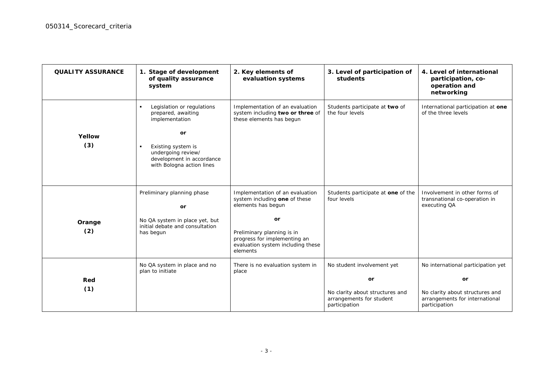| <b>QUALITY ASSURANCE</b> | 1. Stage of development<br>of quality assurance<br>system                                                            | 2. Key elements of<br>evaluation systems                                                                    | 3. Level of participation of<br>students                                     | 4. Level of international<br>participation, co-<br>operation and<br>networking     |
|--------------------------|----------------------------------------------------------------------------------------------------------------------|-------------------------------------------------------------------------------------------------------------|------------------------------------------------------------------------------|------------------------------------------------------------------------------------|
|                          | Legislation or regulations<br>prepared, awaiting<br>implementation                                                   | Implementation of an evaluation<br>system including two or three of<br>these elements has begun             | Students participate at two of<br>the four levels                            | International participation at one<br>of the three levels                          |
| Yellow                   | or                                                                                                                   |                                                                                                             |                                                                              |                                                                                    |
| (3)                      | Existing system is<br>$\blacksquare$<br>undergoing review/<br>development in accordance<br>with Bologna action lines |                                                                                                             |                                                                              |                                                                                    |
|                          | Preliminary planning phase<br>or                                                                                     | Implementation of an evaluation<br>system including one of these<br>elements has begun                      | Students participate at one of the<br>four levels                            | Involvement in other forms of<br>transnational co-operation in<br>executing QA     |
| Orange                   | No QA system in place yet, but                                                                                       | or                                                                                                          |                                                                              |                                                                                    |
| (2)                      | initial debate and consultation<br>has begun                                                                         | Preliminary planning is in<br>progress for implementing an<br>evaluation system including these<br>elements |                                                                              |                                                                                    |
|                          | No QA system in place and no                                                                                         | There is no evaluation system in                                                                            | No student involvement yet                                                   | No international participation yet                                                 |
|                          | plan to initiate                                                                                                     | place                                                                                                       |                                                                              |                                                                                    |
| Red                      |                                                                                                                      |                                                                                                             | or                                                                           | or                                                                                 |
| (1)                      |                                                                                                                      |                                                                                                             | No clarity about structures and<br>arrangements for student<br>participation | No clarity about structures and<br>arrangements for international<br>participation |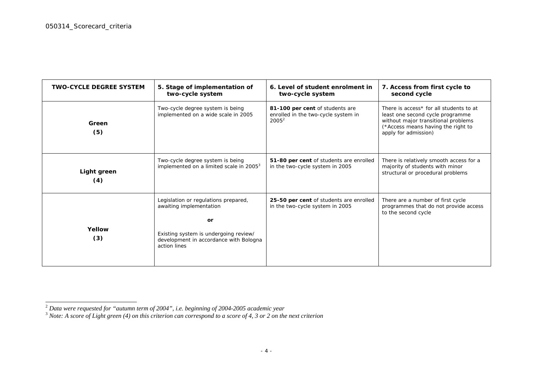| <b>TWO-CYCLE DEGREE SYSTEM</b> | 5. Stage of implementation of<br>two-cycle system                                                                                                                        | 6. Level of student enrolment in<br>two-cycle system                               | 7. Access from first cycle to<br>second cycle                                                                                                                                    |
|--------------------------------|--------------------------------------------------------------------------------------------------------------------------------------------------------------------------|------------------------------------------------------------------------------------|----------------------------------------------------------------------------------------------------------------------------------------------------------------------------------|
| Green<br>(5)                   | Two-cycle degree system is being<br>implemented on a wide scale in 2005                                                                                                  | 81-100 per cent of students are<br>enrolled in the two-cycle system in<br>$2005^2$ | There is access* for all students to at<br>least one second cycle programme<br>without major transitional problems<br>(*Access means having the right to<br>apply for admission) |
| Light green<br>(4)             | Two-cycle degree system is being<br>implemented on a limited scale in 2005 <sup>3</sup>                                                                                  | 51-80 per cent of students are enrolled<br>in the two-cycle system in 2005         | There is relatively smooth access for a<br>majority of students with minor<br>structural or procedural problems                                                                  |
| Yellow<br>(3)                  | Legislation or regulations prepared,<br>awaiting implementation<br>or<br>Existing system is undergoing review/<br>development in accordance with Bologna<br>action lines | 25-50 per cent of students are enrolled<br>in the two-cycle system in 2005         | There are a number of first cycle<br>programmes that do not provide access<br>to the second cycle                                                                                |

<sup>2</sup> *Data were requested for "autumn term of 2004", i.e. beginning of 2004-2005 academic year* 3 *Note: A score of Light green (4) on this criterion can correspond to a score of 4, 3 or 2 on the next criterion*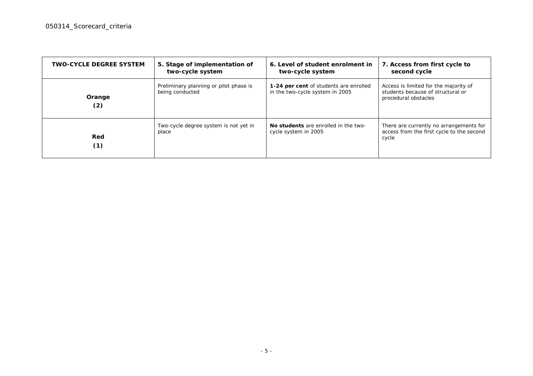| <b>TWO-CYCLE DEGREE SYSTEM</b> | 5. Stage of implementation of<br>two-cycle system         | 6. Level of student enrolment in<br>two-cycle system                      | 7. Access from first cycle to<br>second cycle                                                      |
|--------------------------------|-----------------------------------------------------------|---------------------------------------------------------------------------|----------------------------------------------------------------------------------------------------|
| Orange<br>(2)                  | Preliminary planning or pilot phase is<br>being conducted | 1-24 per cent of students are enrolled<br>in the two-cycle system in 2005 | Access is limited for the majority of<br>students because of structural or<br>procedural obstacles |
| Red<br>(1)                     | Two-cycle degree system is not yet in<br>place            | No students are enrolled in the two-<br>cycle system in 2005              | There are currently no arrangements for<br>access from the first cycle to the second<br>cycle      |